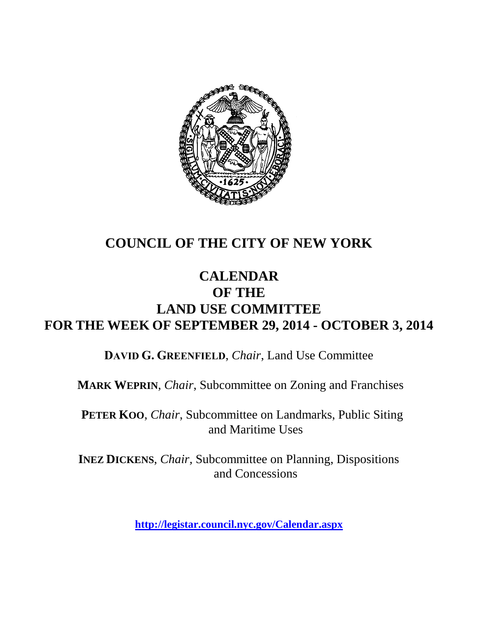

# **COUNCIL OF THE CITY OF NEW YORK**

# **CALENDAR OF THE LAND USE COMMITTEE FOR THE WEEK OF SEPTEMBER 29, 2014 - OCTOBER 3, 2014**

**DAVID G. GREENFIELD**, *Chair*, Land Use Committee

**MARK WEPRIN**, *Chair*, Subcommittee on Zoning and Franchises

**PETER KOO**, *Chair*, Subcommittee on Landmarks, Public Siting and Maritime Uses

**INEZ DICKENS**, *Chair,* Subcommittee on Planning, Dispositions and Concessions

**<http://legistar.council.nyc.gov/Calendar.aspx>**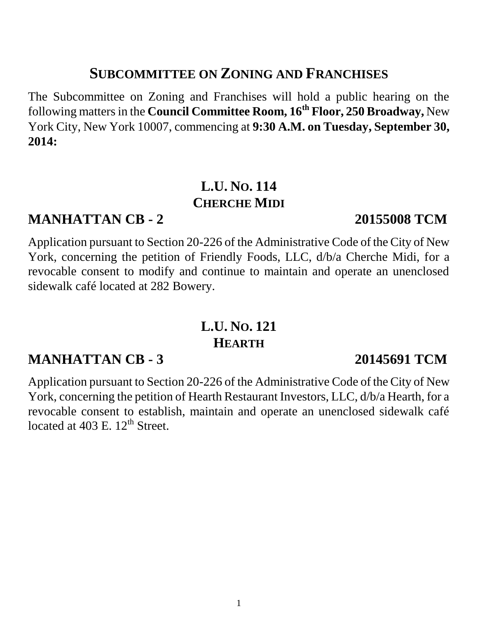# **SUBCOMMITTEE ON ZONING AND FRANCHISES**

The Subcommittee on Zoning and Franchises will hold a public hearing on the following mattersin the **Council Committee Room, 16th Floor, 250 Broadway,** New York City, New York 10007, commencing at **9:30 A.M. on Tuesday, September 30, 2014:**

# **L.U. NO. 114 CHERCHE MIDI**

## **MANHATTAN CB - 2 20155008 TCM**

Application pursuant to Section 20-226 of the Administrative Code of the City of New York, concerning the petition of Friendly Foods, LLC, d/b/a Cherche Midi, for a revocable consent to modify and continue to maintain and operate an unenclosed sidewalk café located at 282 Bowery.

# **L.U. NO. 121 HEARTH**

## **MANHATTAN CB - 3 20145691 TCM**

Application pursuant to Section 20-226 of the Administrative Code of the City of New York, concerning the petition of Hearth Restaurant Investors, LLC, d/b/a Hearth, for a revocable consent to establish, maintain and operate an unenclosed sidewalk café located at  $403$  E.  $12^{th}$  Street.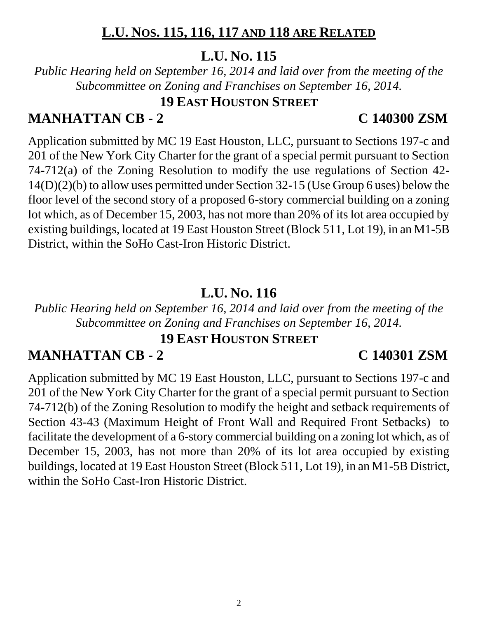## **L.U. NOS. 115, 116, 117 AND 118 ARE RELATED**

### **L.U. NO. 115**

*Public Hearing held on September 16, 2014 and laid over from the meeting of the Subcommittee on Zoning and Franchises on September 16, 2014.*

## **19 EAST HOUSTON STREET**

## **MANHATTAN CB - 2 C 140300 ZSM**

Application submitted by MC 19 East Houston, LLC, pursuant to Sections 197-c and 201 of the New York City Charter for the grant of a special permit pursuant to Section 74-712(a) of the Zoning Resolution to modify the use regulations of Section 42- 14(D)(2)(b) to allow uses permitted under Section 32-15 (Use Group 6 uses) below the floor level of the second story of a proposed 6-story commercial building on a zoning lot which, as of December 15, 2003, has not more than 20% of its lot area occupied by existing buildings, located at 19 East Houston Street (Block 511, Lot 19), in an M1-5B District, within the SoHo Cast-Iron Historic District.

### **L.U. NO. 116**

*Public Hearing held on September 16, 2014 and laid over from the meeting of the Subcommittee on Zoning and Franchises on September 16, 2014.*

### **19 EAST HOUSTON STREET**

### **MANHATTAN CB - 2 C 140301 ZSM**

Application submitted by MC 19 East Houston, LLC, pursuant to Sections 197-c and 201 of the New York City Charter for the grant of a special permit pursuant to Section 74-712(b) of the Zoning Resolution to modify the height and setback requirements of Section 43-43 (Maximum Height of Front Wall and Required Front Setbacks) to facilitate the development of a 6-story commercial building on a zoning lot which, as of December 15, 2003, has not more than 20% of its lot area occupied by existing buildings, located at 19 East Houston Street (Block 511, Lot 19), in an M1-5B District, within the SoHo Cast-Iron Historic District.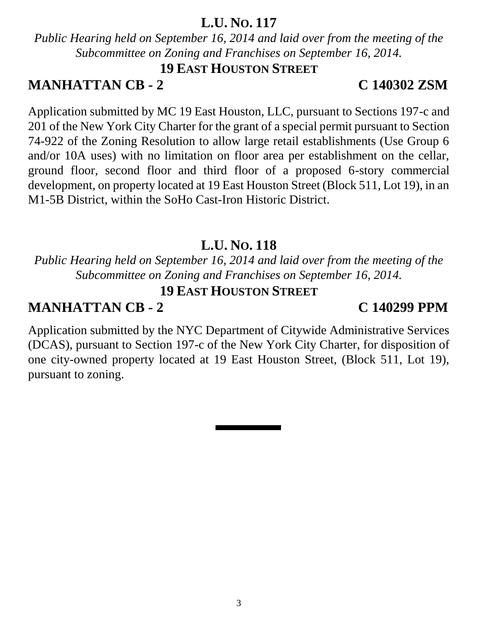### **L.U. NO. 117**

*Public Hearing held on September 16, 2014 and laid over from the meeting of the Subcommittee on Zoning and Franchises on September 16, 2014.*

### **19 EAST HOUSTON STREET**

# **MANHATTAN CB - 2 C 140302 ZSM**

Application submitted by MC 19 East Houston, LLC, pursuant to Sections 197-c and 201 of the New York City Charter for the grant of a special permit pursuant to Section 74-922 of the Zoning Resolution to allow large retail establishments (Use Group 6 and/or 10A uses) with no limitation on floor area per establishment on the cellar, ground floor, second floor and third floor of a proposed 6-story commercial development, on property located at 19 East Houston Street (Block 511, Lot 19), in an M1-5B District, within the SoHo Cast-Iron Historic District.

## **L.U. NO. 118**

*Public Hearing held on September 16, 2014 and laid over from the meeting of the Subcommittee on Zoning and Franchises on September 16, 2014.*

### **19 EAST HOUSTON STREET**

# **MANHATTAN CB - 2 C 140299 PPM**

Application submitted by the NYC Department of Citywide Administrative Services (DCAS), pursuant to Section 197-c of the New York City Charter, for disposition of one city-owned property located at 19 East Houston Street, (Block 511, Lot 19), pursuant to zoning.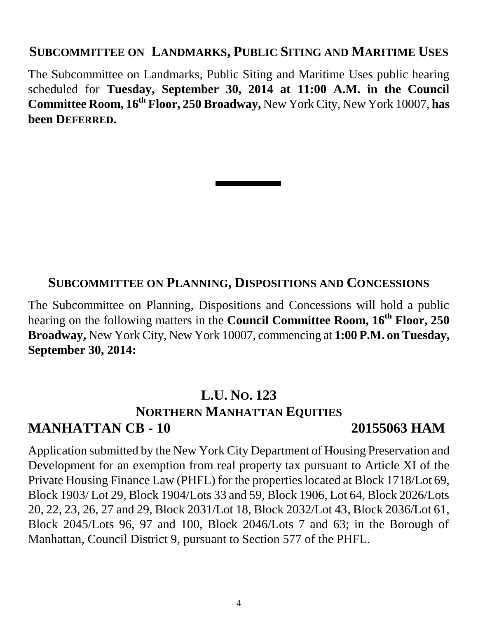### **SUBCOMMITTEE ON LANDMARKS, PUBLIC SITING AND MARITIME USES**

The Subcommittee on Landmarks, Public Siting and Maritime Uses public hearing scheduled for **Tuesday, September 30, 2014 at 11:00 A.M. in the Council Committee Room, 16th Floor, 250 Broadway,** New York City, New York 10007, **has been DEFERRED.**

### **SUBCOMMITTEE ON PLANNING, DISPOSITIONS AND CONCESSIONS**

The Subcommittee on Planning, Dispositions and Concessions will hold a public hearing on the following matters in the **Council Committee Room, 16th Floor, 250 Broadway,** New York City, New York 10007, commencing at **1:00 P.M. on Tuesday, September 30, 2014:**

### **L.U. NO. 123 NORTHERN MANHATTAN EQUITIES MANHATTAN CB - 10 20155063 HAM**

Application submitted by the New York City Department of Housing Preservation and Development for an exemption from real property tax pursuant to Article XI of the Private Housing Finance Law (PHFL) for the properties located at Block 1718/Lot 69, Block 1903/ Lot 29, Block 1904/Lots 33 and 59, Block 1906, Lot 64, Block 2026/Lots 20, 22, 23, 26, 27 and 29, Block 2031/Lot 18, Block 2032/Lot 43, Block 2036/Lot 61, Block 2045/Lots 96, 97 and 100, Block 2046/Lots 7 and 63; in the Borough of Manhattan, Council District 9, pursuant to Section 577 of the PHFL.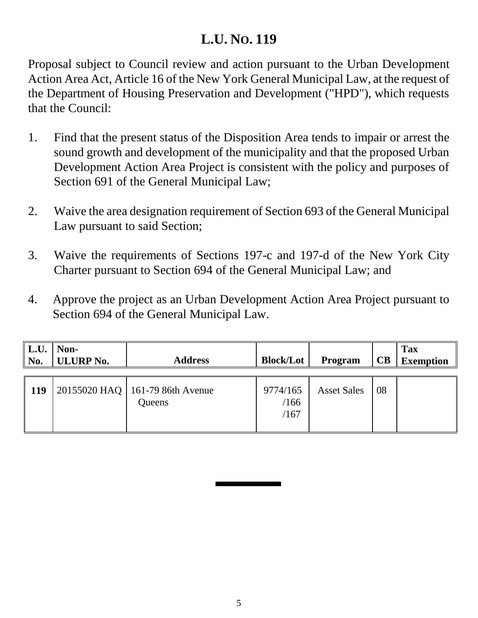# **L.U. NO. 119**

Proposal subject to Council review and action pursuant to the Urban Development Action Area Act, Article 16 of the New York General Municipal Law, at the request of the Department of Housing Preservation and Development ("HPD"), which requests that the Council:

- 1. Find that the present status of the Disposition Area tends to impair or arrest the sound growth and development of the municipality and that the proposed Urban Development Action Area Project is consistent with the policy and purposes of Section 691 of the General Municipal Law;
- 2. Waive the area designation requirement of Section 693 of the General Municipal Law pursuant to said Section;
- 3. Waive the requirements of Sections 197-c and 197-d of the New York City Charter pursuant to Section 694 of the General Municipal Law; and
- 4. Approve the project as an Urban Development Action Area Project pursuant to Section 694 of the General Municipal Law.

| $\ $ L.U.<br>$\ $ No. | Non-<br><b>ULURP No.</b> | <b>Address</b>                              | <b>Block/Lot</b>         | Program            | CB | <b>Tax</b><br><b>Exemption</b> |
|-----------------------|--------------------------|---------------------------------------------|--------------------------|--------------------|----|--------------------------------|
| <b>119</b>            |                          | 20155020 HAQ   161-79 86th Avenue<br>Queens | 9774/165<br>/166<br>/167 | <b>Asset Sales</b> | 08 |                                |